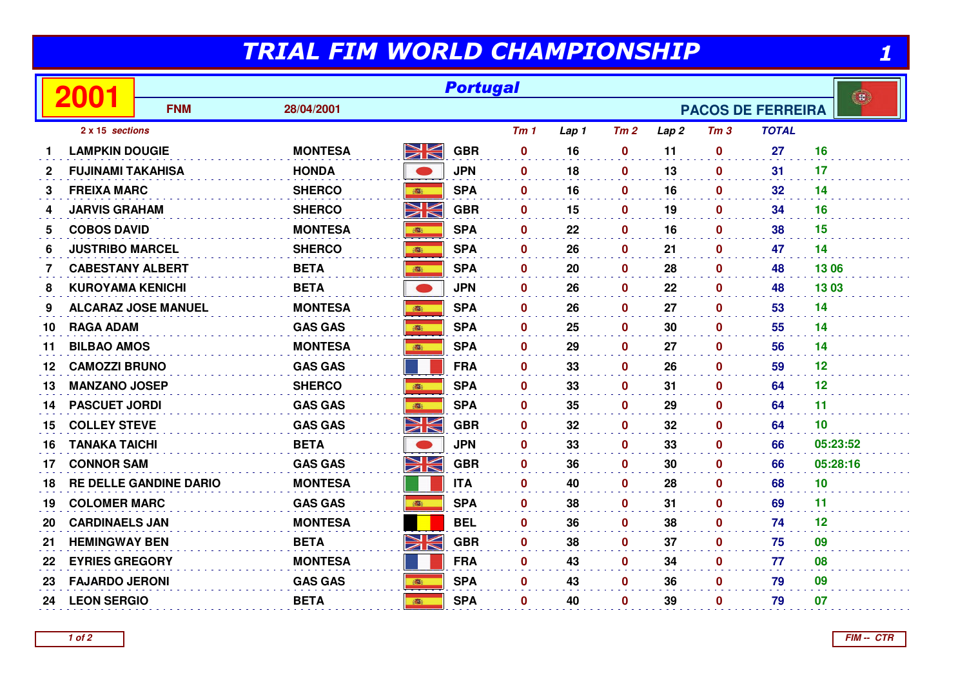## TRIAL FIM WORLD CHAMPIONSHIP

|              | TRIAL FIM WORLD CHAMPIONSHIP |                               |                |               |            |                 |                                          |              |      |                 |              |                 |
|--------------|------------------------------|-------------------------------|----------------|---------------|------------|-----------------|------------------------------------------|--------------|------|-----------------|--------------|-----------------|
|              | 2001                         | <b>Portugal</b>               |                |               |            |                 |                                          |              |      |                 |              |                 |
|              |                              | <b>FNM</b>                    | 28/04/2001     |               |            |                 | $\mathbf{B}$<br><b>PACOS DE FERREIRA</b> |              |      |                 |              |                 |
|              | 2 x 15 sections              |                               |                |               |            | Tm <sub>1</sub> | Lap 1                                    | Tm2          | Lap2 | Tm <sub>3</sub> | <b>TOTAL</b> |                 |
|              | <b>LAMPKIN DOUGIE</b>        |                               | <b>MONTESA</b> | XK            | <b>GBR</b> | $\mathbf 0$     | 16                                       | $\mathbf 0$  | 11   | $\bf{0}$        | 27           | 16              |
| $\mathbf{2}$ | <b>FUJINAMI TAKAHISA</b>     |                               | <b>HONDA</b>   |               | <b>JPN</b> | $\mathbf 0$     | 18                                       | $\mathbf 0$  | 13   | $\mathbf 0$     | 31           | 17              |
| 3            | <b>FREIXA MARC</b>           |                               | <b>SHERCO</b>  |               | <b>SPA</b> | $\mathbf{0}$    | 16                                       | $\mathbf 0$  | 16   | 0               | 32           | 14              |
| 4            | <b>JARVIS GRAHAM</b>         |                               | <b>SHERCO</b>  | NK<br>M       | <b>GBR</b> | $\mathbf{0}$    | 15                                       | $\mathbf 0$  | 19   | 0               | 34           | 16              |
| 5            | <b>COBOS DAVID</b>           |                               | <b>MONTESA</b> | 高             | <b>SPA</b> | $\mathbf{0}$    | 22                                       | $\mathbf 0$  | 16   | 0               | 38           | 15              |
| 6            | <b>JUSTRIBO MARCEL</b>       |                               | <b>SHERCO</b>  | 高             | <b>SPA</b> | $\mathbf{0}$    | 26                                       | $\mathbf 0$  | 21   | 0               | 47           | 14              |
| 7            | <b>CABESTANY ALBERT</b>      |                               | <b>BETA</b>    | <b>BOOK</b>   | <b>SPA</b> | $\mathbf{0}$    | 20                                       | $\mathbf 0$  | 28   | 0               | 48           | 13 06           |
| 8            | <b>KUROYAMA KENICHI</b>      |                               | <b>BETA</b>    |               | <b>JPN</b> | $\mathbf{0}$    | 26                                       | $\mathbf 0$  | 22   | 0               | 48           | 1303            |
| 9            |                              | <b>ALCARAZ JOSE MANUEL</b>    | <b>MONTESA</b> |               | <b>SPA</b> | $\mathbf{0}$    | 26                                       | $\mathbf 0$  | 27   | $\mathbf{0}$    | 53           | 14              |
| 10           | <b>RAGA ADAM</b>             |                               | <b>GAS GAS</b> | 高             | <b>SPA</b> | $\mathbf{0}$    | 25                                       | $\mathbf 0$  | 30   | 0               | 55           | 14              |
| 11           | <b>BILBAO AMOS</b>           |                               | <b>MONTESA</b> | 高             | <b>SPA</b> | $\mathbf{0}$    | 29                                       | $\mathbf{0}$ | 27   | $\mathbf{0}$    | 56           | 14              |
| 12           | <b>CAMOZZI BRUNO</b>         |                               | <b>GAS GAS</b> |               | <b>FRA</b> | $\mathbf{0}$    | 33                                       | $\mathbf 0$  | 26   | 0               | 59           | 12              |
| 13           | <b>MANZANO JOSEP</b>         |                               | <b>SHERCO</b>  | <b>BEE</b>    | <b>SPA</b> | $\mathbf 0$     | 33                                       | $\mathbf 0$  | 31   | $\bf{0}$        | 64           | 12              |
| 14           | <b>PASCUET JORDI</b>         |                               | <b>GAS GAS</b> |               | <b>SPA</b> | $\mathbf{0}$    | 35                                       | $\mathbf 0$  | 29   | 0               | 64           | 11              |
| 15           | <b>COLLEY STEVE</b>          |                               | <b>GAS GAS</b> | $\frac{3}{2}$ | <b>GBR</b> | $\mathbf 0$     | 32                                       | $\mathbf 0$  | 32   | 0               | 64           | 10 <sup>°</sup> |
| 16           | <b>TANAKA TAICHI</b>         |                               | <b>BETA</b>    |               | <b>JPN</b> | $\mathbf{0}$    | 33                                       | $\mathbf 0$  | 33   | 0               | 66           | 05:23:52        |
| 17           | <b>CONNOR SAM</b>            |                               | <b>GAS GAS</b> | <u>NK</u>     | <b>GBR</b> | 0               | 36                                       | $\mathbf 0$  | 30   | 0               | 66           | 05:28:16        |
| 18           |                              | <b>RE DELLE GANDINE DARIO</b> | <b>MONTESA</b> |               | <b>ITA</b> | $\mathbf{0}$    | 40                                       | $\mathbf 0$  | 28   | 0               | 68           | 10              |
| 19           | <b>COLOMER MARC</b>          |                               | <b>GAS GAS</b> | 瓣             | <b>SPA</b> | $\mathbf 0$     | 38                                       | $\mathbf 0$  | 31   | 0               | 69           | 11              |
| 20           | <b>CARDINAELS JAN</b>        |                               | <b>MONTESA</b> |               | <b>BEL</b> | $\mathbf 0$     | 36                                       | $\mathbf 0$  | 38   | 0               | 74           | 12              |
| 21           | <b>HEMINGWAY BEN</b>         |                               | <b>BETA</b>    | XK            | <b>GBR</b> | $\mathbf{0}$    | 38                                       | $\mathbf 0$  | 37   | 0               | 75           | 09              |
| 22           | <b>EYRIES GREGORY</b>        |                               | <b>MONTESA</b> |               | <b>FRA</b> | $\mathbf 0$     | 43                                       | $\mathbf 0$  | 34   | 0               | 77           | 08              |
| 23           | <b>FAJARDO JERONI</b>        |                               | <b>GAS GAS</b> | ■             | <b>SPA</b> | $\mathbf{0}$    | 43                                       | $\mathbf 0$  | 36   | 0               | 79           | 09              |
| 24           | <b>LEON SERGIO</b>           |                               | <b>BETA</b>    | 瓣             | <b>SPA</b> | $\mathbf{0}$    | 40                                       | $\mathbf 0$  | 39   | $\bf{0}$        | 79           | 07              |